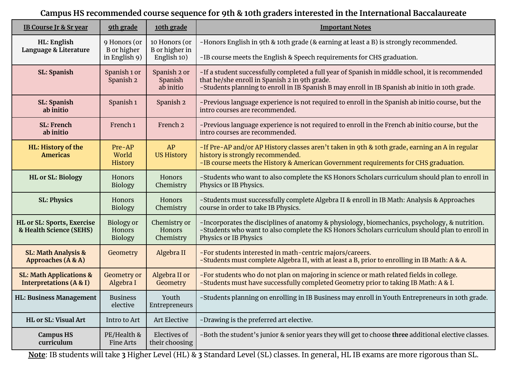## **Campus HS recommended course sequence for 9th & 10th graders interested in the International Baccalaureate**

| <b>IB Course Jr &amp; Sr year</b>                                        | 9th grade                                            | 10th grade                                            | <b>Important Notes</b>                                                                                                                                                                                                                             |
|--------------------------------------------------------------------------|------------------------------------------------------|-------------------------------------------------------|----------------------------------------------------------------------------------------------------------------------------------------------------------------------------------------------------------------------------------------------------|
| HL: English<br>Language & Literature                                     | 9 Honors (or<br><b>B</b> or higher<br>in English 9)  | 10 Honors (or<br><b>B</b> or higher in<br>English 10) | -Honors English in 9th & 10th grade (& earning at least a B) is strongly recommended.                                                                                                                                                              |
|                                                                          |                                                      |                                                       | -IB course meets the English & Speech requirements for CHS graduation.                                                                                                                                                                             |
| <b>SL: Spanish</b>                                                       | Spanish 1 or<br>Spanish 2                            | Spanish 2 or<br>Spanish<br>ab initio                  | -If a student successfully completed a full year of Spanish in middle school, it is recommended<br>that he/she enroll in Spanish 2 in 9th grade.<br>-Students planning to enroll in IB Spanish B may enroll in IB Spanish ab initio in 10th grade. |
| <b>SL: Spanish</b><br>ab initio                                          | Spanish <sub>1</sub>                                 | Spanish <sub>2</sub>                                  | -Previous language experience is not required to enroll in the Spanish ab initio course, but the<br>intro courses are recommended.                                                                                                                 |
| <b>SL: French</b><br>ab initio                                           | French 1                                             | French <sub>2</sub>                                   | -Previous language experience is not required to enroll in the French ab initio course, but the<br>intro courses are recommended.                                                                                                                  |
| HL: History of the<br><b>Americas</b>                                    | $Pre-AP$<br>World<br>History                         | AP<br><b>US History</b>                               | -If Pre-AP and/or AP History classes aren't taken in 9th & 10th grade, earning an A in regular<br>history is strongly recommended.<br>-IB course meets the History & American Government requirements for CHS graduation.                          |
| <b>HL or SL: Biology</b>                                                 | Honors<br>Biology                                    | Honors<br>Chemistry                                   | -Students who want to also complete the KS Honors Scholars curriculum should plan to enroll in<br>Physics or IB Physics.                                                                                                                           |
| <b>SL: Physics</b>                                                       | <b>Honors</b><br>Biology                             | Honors<br>Chemistry                                   | -Students must successfully complete Algebra II & enroll in IB Math: Analysis & Approaches<br>course in order to take IB Physics.                                                                                                                  |
| HL or SL: Sports, Exercise<br>& Health Science (SEHS)                    | <b>Biology</b> or<br><b>Honors</b><br><b>Biology</b> | Chemistry or<br><b>Honors</b><br>Chemistry            | -Incorporates the disciplines of anatomy & physiology, biomechanics, psychology, & nutrition.<br>-Students who want to also complete the KS Honors Scholars curriculum should plan to enroll in<br>Physics or IB Physics                           |
| <b>SL: Math Analysis &amp;</b><br>Approaches (A & A)                     | Geometry                                             | Algebra II                                            | -For students interested in math-centric majors/careers.<br>-Students must complete Algebra II, with at least a B, prior to enrolling in IB Math: A & A.                                                                                           |
| <b>SL: Math Applications &amp;</b><br><b>Interpretations (A &amp; I)</b> | Geometry or<br>Algebra I                             | Algebra II or<br>Geometry                             | -For students who do not plan on majoring in science or math related fields in college.<br>-Students must have successfully completed Geometry prior to taking IB Math: A & I.                                                                     |
| <b>HL: Business Management</b>                                           | <b>Business</b><br>elective                          | Youth<br>Entrepreneurs                                | -Students planning on enrolling in IB Business may enroll in Youth Entrepreneurs in 10th grade.                                                                                                                                                    |
| <b>HL or SL: Visual Art</b>                                              | Intro to Art                                         | Art Elective                                          | -Drawing is the preferred art elective.                                                                                                                                                                                                            |
| <b>Campus HS</b><br>curriculum                                           | PE/Health &<br><b>Fine Arts</b>                      | <b>Electives of</b><br>their choosing                 | -Both the student's junior & senior years they will get to choose three additional elective classes.                                                                                                                                               |

**Note**: IB students will take **3** Higher Level (HL) & **3** Standard Level (SL) classes. In general, HL IB exams are more rigorous than SL.